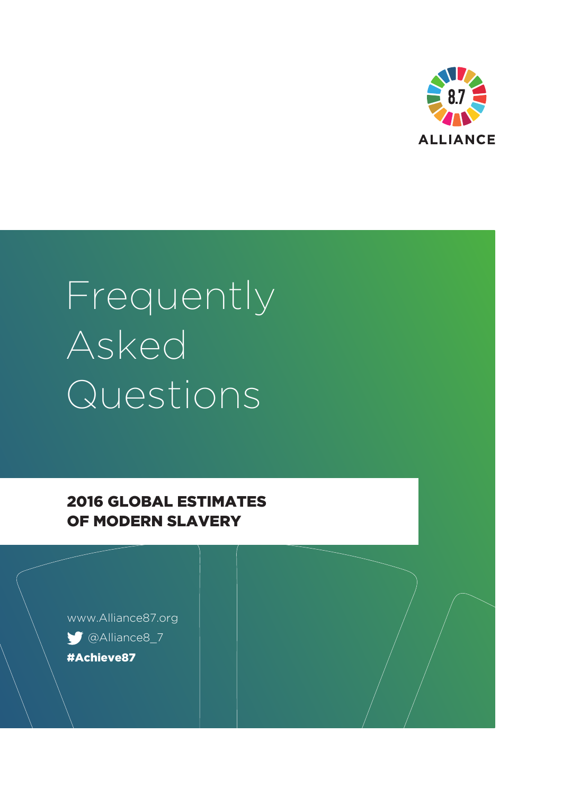

# Frequently Asked Questions

2016 GLOBAL ESTIMATES OF MODERN SLAVERY

www.Alliance87.org @Alliance8\_7 #Achieve87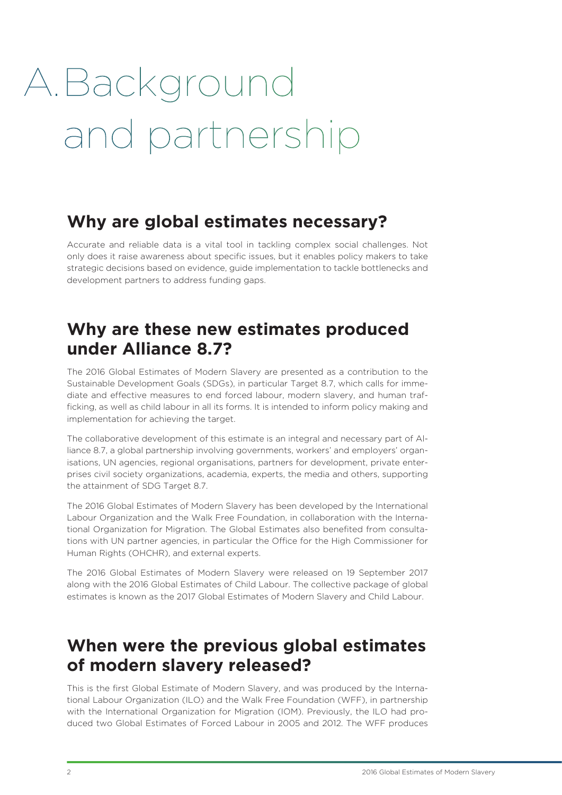# A.Background and partnership

#### **Why are global estimates necessary?**

Accurate and reliable data is a vital tool in tackling complex social challenges. Not only does it raise awareness about specific issues, but it enables policy makers to take strategic decisions based on evidence, guide implementation to tackle bottlenecks and development partners to address funding gaps.

# **Why are these new estimates produced under Alliance 8.7?**

The 2016 Global Estimates of Modern Slavery are presented as a contribution to the Sustainable Development Goals (SDGs), in particular Target 8.7, which calls for immediate and effective measures to end forced labour, modern slavery, and human trafficking, as well as child labour in all its forms. It is intended to inform policy making and implementation for achieving the target.

The collaborative development of this estimate is an integral and necessary part of Alliance 8.7, a global partnership involving governments, workers' and employers' organisations, UN agencies, regional organisations, partners for development, private enterprises civil society organizations, academia, experts, the media and others, supporting the attainment of SDG Target 8.7.

The 2016 Global Estimates of Modern Slavery has been developed by the International Labour Organization and the Walk Free Foundation, in collaboration with the International Organization for Migration. The Global Estimates also benefited from consultations with UN partner agencies, in particular the Office for the High Commissioner for Human Rights (OHCHR), and external experts.

The 2016 Global Estimates of Modern Slavery were released on 19 September 2017 along with the 2016 Global Estimates of Child Labour. The collective package of global estimates is known as the 2017 Global Estimates of Modern Slavery and Child Labour.

# **When were the previous global estimates of modern slavery released?**

This is the first Global Estimate of Modern Slavery, and was produced by the International Labour Organization (ILO) and the Walk Free Foundation (WFF), in partnership with the International Organization for Migration (IOM). Previously, the ILO had produced two Global Estimates of Forced Labour in 2005 and 2012. The WFF produces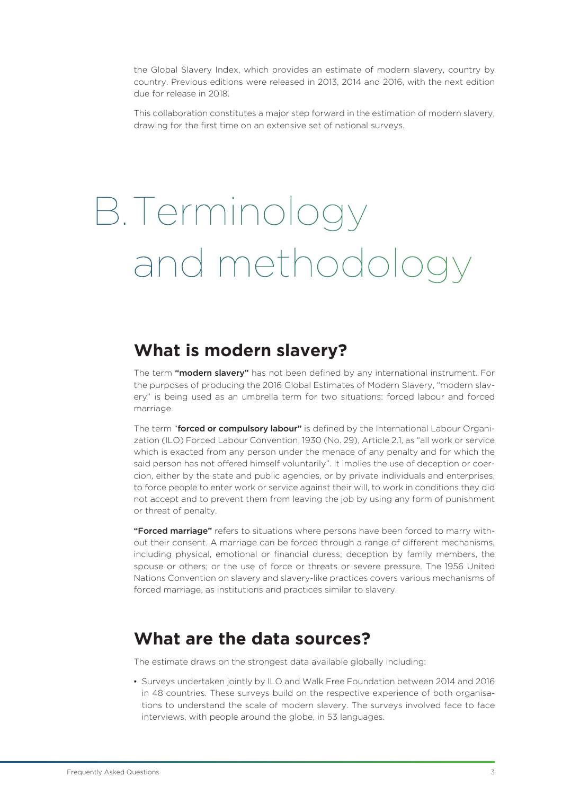the Global Slavery Index, which provides an estimate of modern slavery, country by country. Previous editions were released in 2013, 2014 and 2016, with the next edition due for release in 2018.

This collaboration constitutes a major step forward in the estimation of modern slavery, drawing for the first time on an extensive set of national surveys.

# B.Terminology and methodology

#### **What is modern slavery?**

The term "modern slavery" has not been defined by any international instrument. For the purposes of producing the 2016 Global Estimates of Modern Slavery, "modern slavery" is being used as an umbrella term for two situations: forced labour and forced marriage.

The term "forced or compulsory labour" is defined by the International Labour Organization (ILO) Forced Labour Convention, 1930 (No. 29), Article 2.1, as "all work or service which is exacted from any person under the menace of any penalty and for which the said person has not offered himself voluntarily". It implies the use of deception or coercion, either by the state and public agencies, or by private individuals and enterprises, to force people to enter work or service against their will, to work in conditions they did not accept and to prevent them from leaving the job by using any form of punishment or threat of penalty.

"Forced marriage" refers to situations where persons have been forced to marry without their consent. A marriage can be forced through a range of different mechanisms, including physical, emotional or financial duress; deception by family members, the spouse or others; or the use of force or threats or severe pressure. The 1956 United Nations Convention on slavery and slavery-like practices covers various mechanisms of forced marriage, as institutions and practices similar to slavery.

#### **What are the data sources?**

The estimate draws on the strongest data available globally including:

▪ Surveys undertaken jointly by ILO and Walk Free Foundation between 2014 and 2016 in 48 countries. These surveys build on the respective experience of both organisations to understand the scale of modern slavery. The surveys involved face to face interviews, with people around the globe, in 53 languages.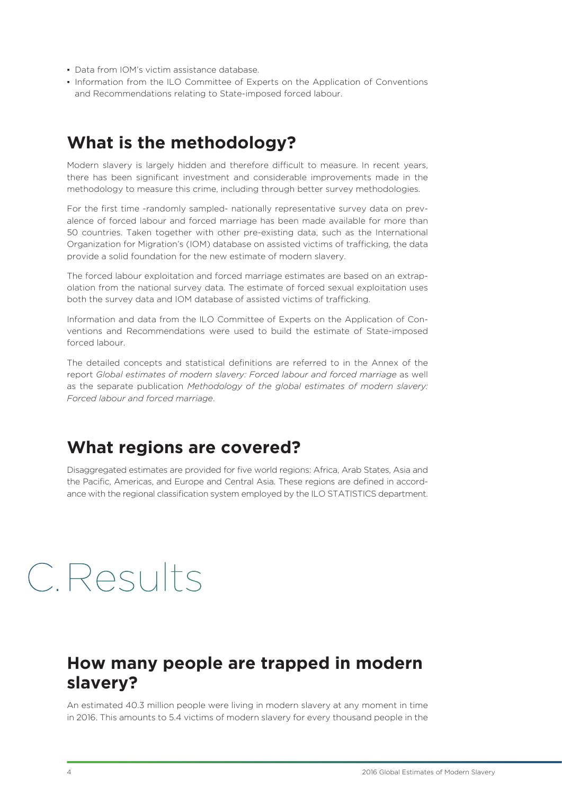- Data from IOM's victim assistance database
- Information from the ILO Committee of Experts on the Application of Conventions and Recommendations relating to State-imposed forced labour.

#### **What is the methodology?**

Modern slavery is largely hidden and therefore difficult to measure. In recent years, there has been significant investment and considerable improvements made in the methodology to measure this crime, including through better survey methodologies.

For the first time -randomly sampled- nationally representative survey data on prevalence of forced labour and forced marriage has been made available for more than 50 countries. Taken together with other pre-existing data, such as the International Organization for Migration's (IOM) database on assisted victims of trafficking, the data provide a solid foundation for the new estimate of modern slavery.

The forced labour exploitation and forced marriage estimates are based on an extrapolation from the national survey data. The estimate of forced sexual exploitation uses both the survey data and IOM database of assisted victims of trafficking.

Information and data from the ILO Committee of Experts on the Application of Conventions and Recommendations were used to build the estimate of State-imposed forced labour.

The detailed concepts and statistical definitions are referred to in the Annex of the report *Global estimates of modern slavery: Forced labour and forced marriage* as well as the separate publication *Methodology of the global estimates of modern slavery: Forced labour and forced marriage*.

#### **What regions are covered?**

Disaggregated estimates are provided for five world regions: Africa, Arab States, Asia and the Pacific, Americas, and Europe and Central Asia. These regions are defined in accordance with the regional classification system employed by the ILO STATISTICS department.

# C.Results

#### **How many people are trapped in modern slavery?**

An estimated 40.3 million people were living in modern slavery at any moment in time in 2016. This amounts to 5.4 victims of modern slavery for every thousand people in the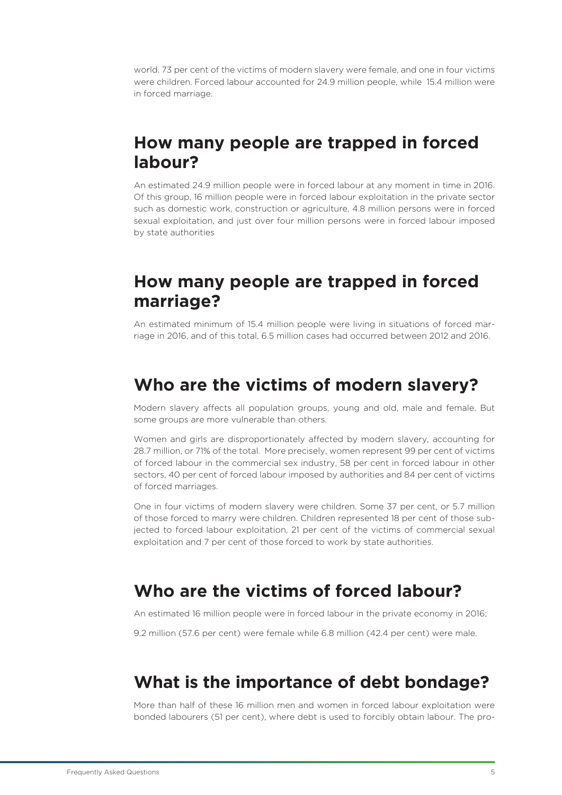world. 73 per cent of the victims of modern slavery were female, and one in four victims were children. Forced labour accounted for 24.9 million people, while 15.4 million were in forced marriage.

#### **How many people are trapped in forced labour?**

An estimated 24.9 million people were in forced labour at any moment in time in 2016. Of this group, 16 million people were in forced labour exploitation in the private sector such as domestic work, construction or agriculture, 4.8 million persons were in forced sexual exploitation, and just over four million persons were in forced labour imposed by state authorities

# **How many people are trapped in forced marriage?**

An estimated minimum of 15.4 million people were living in situations of forced marriage in 2016, and of this total, 6.5 million cases had occurred between 2012 and 2016.

#### **Who are the victims of modern slavery?**

Modern slavery affects all population groups, young and old, male and female. But some groups are more vulnerable than others.

Women and girls are disproportionately affected by modern slavery, accounting for 28.7 million, or 71% of the total. More precisely, women represent 99 per cent of victims of forced labour in the commercial sex industry, 58 per cent in forced labour in other sectors, 40 per cent of forced labour imposed by authorities and 84 per cent of victims of forced marriages.

One in four victims of modern slavery were children. Some 37 per cent, or 5.7 million of those forced to marry were children. Children represented 18 per cent of those subjected to forced labour exploitation, 21 per cent of the victims of commercial sexual exploitation and 7 per cent of those forced to work by state authorities.

# **Who are the victims of forced labour?**

An estimated 16 million people were in forced labour in the private economy in 2016;

9.2 million (57.6 per cent) were female while 6.8 million (42.4 per cent) were male.

# **What is the importance of debt bondage?**

More than half of these 16 million men and women in forced labour exploitation were bonded labourers (51 per cent), where debt is used to forcibly obtain labour. The pro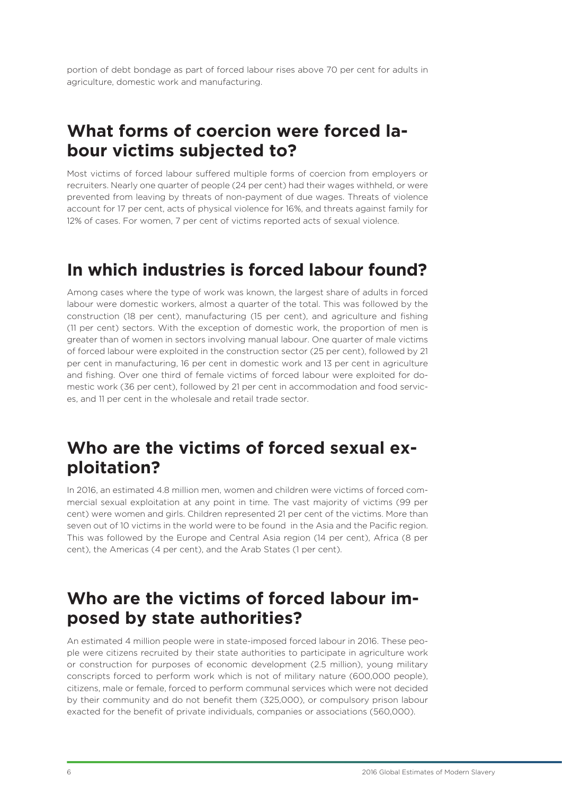portion of debt bondage as part of forced labour rises above 70 per cent for adults in agriculture, domestic work and manufacturing.

# **What forms of coercion were forced labour victims subjected to?**

Most victims of forced labour suffered multiple forms of coercion from employers or recruiters. Nearly one quarter of people (24 per cent) had their wages withheld, or were prevented from leaving by threats of non-payment of due wages. Threats of violence account for 17 per cent, acts of physical violence for 16%, and threats against family for 12% of cases. For women, 7 per cent of victims reported acts of sexual violence.

# **In which industries is forced labour found?**

Among cases where the type of work was known, the largest share of adults in forced labour were domestic workers, almost a quarter of the total. This was followed by the construction (18 per cent), manufacturing (15 per cent), and agriculture and fishing (11 per cent) sectors. With the exception of domestic work, the proportion of men is greater than of women in sectors involving manual labour. One quarter of male victims of forced labour were exploited in the construction sector (25 per cent), followed by 21 per cent in manufacturing, 16 per cent in domestic work and 13 per cent in agriculture and fishing. Over one third of female victims of forced labour were exploited for domestic work (36 per cent), followed by 21 per cent in accommodation and food services, and 11 per cent in the wholesale and retail trade sector.

# **Who are the victims of forced sexual exploitation?**

In 2016, an estimated 4.8 million men, women and children were victims of forced commercial sexual exploitation at any point in time. The vast majority of victims (99 per cent) were women and girls. Children represented 21 per cent of the victims. More than seven out of 10 victims in the world were to be found in the Asia and the Pacific region. This was followed by the Europe and Central Asia region (14 per cent), Africa (8 per cent), the Americas (4 per cent), and the Arab States (1 per cent).

# **Who are the victims of forced labour imposed by state authorities?**

An estimated 4 million people were in state-imposed forced labour in 2016. These people were citizens recruited by their state authorities to participate in agriculture work or construction for purposes of economic development (2.5 million), young military conscripts forced to perform work which is not of military nature (600,000 people), citizens, male or female, forced to perform communal services which were not decided by their community and do not benefit them (325,000), or compulsory prison labour exacted for the benefit of private individuals, companies or associations (560,000).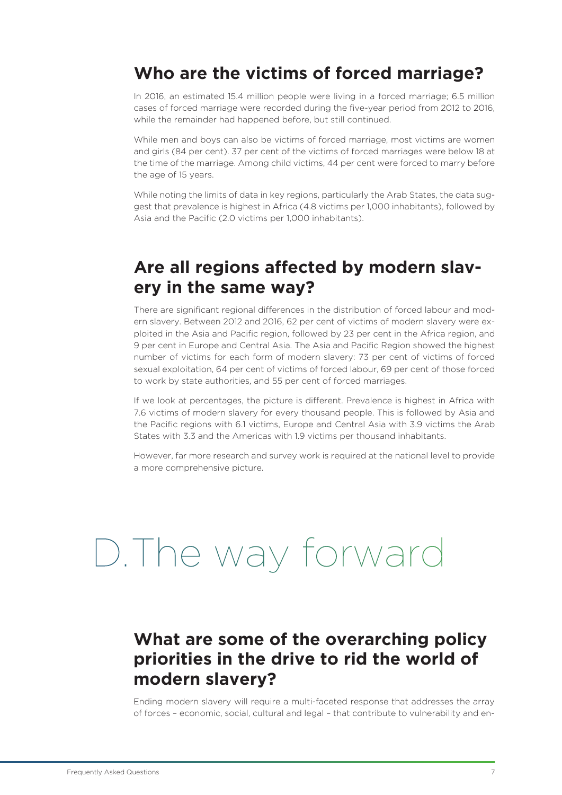#### **Who are the victims of forced marriage?**

In 2016, an estimated 15.4 million people were living in a forced marriage; 6.5 million cases of forced marriage were recorded during the five-year period from 2012 to 2016, while the remainder had happened before, but still continued.

While men and boys can also be victims of forced marriage, most victims are women and girls (84 per cent). 37 per cent of the victims of forced marriages were below 18 at the time of the marriage. Among child victims, 44 per cent were forced to marry before the age of 15 years.

While noting the limits of data in key regions, particularly the Arab States, the data suggest that prevalence is highest in Africa (4.8 victims per 1,000 inhabitants), followed by Asia and the Pacific (2.0 victims per 1,000 inhabitants).

#### **Are all regions affected by modern slavery in the same way?**

There are significant regional differences in the distribution of forced labour and modern slavery. Between 2012 and 2016, 62 per cent of victims of modern slavery were exploited in the Asia and Pacific region, followed by 23 per cent in the Africa region, and 9 per cent in Europe and Central Asia. The Asia and Pacific Region showed the highest number of victims for each form of modern slavery: 73 per cent of victims of forced sexual exploitation, 64 per cent of victims of forced labour, 69 per cent of those forced to work by state authorities, and 55 per cent of forced marriages.

If we look at percentages, the picture is different. Prevalence is highest in Africa with 7.6 victims of modern slavery for every thousand people. This is followed by Asia and the Pacific regions with 6.1 victims, Europe and Central Asia with 3.9 victims the Arab States with 3.3 and the Americas with 1.9 victims per thousand inhabitants.

However, far more research and survey work is required at the national level to provide a more comprehensive picture.

# D.The way forward

#### **What are some of the overarching policy priorities in the drive to rid the world of modern slavery?**

Ending modern slavery will require a multi-faceted response that addresses the array of forces – economic, social, cultural and legal – that contribute to vulnerability and en